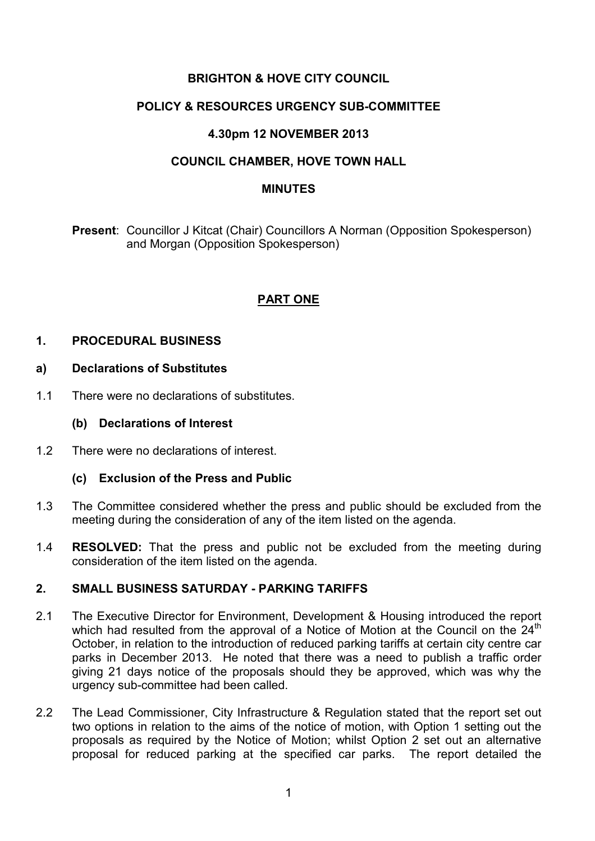## **BRIGHTON & HOVE CITY COUNCIL**

## **POLICY & RESOURCES URGENCY SUB-COMMITTEE**

### **4.30pm 12 NOVEMBER 2013**

## **COUNCIL CHAMBER, HOVE TOWN HALL**

#### **MINUTES**

**Present**: Councillor J Kitcat (Chair) Councillors A Norman (Opposition Spokesperson) and Morgan (Opposition Spokesperson)

## **PART ONE**

### **1. PROCEDURAL BUSINESS**

#### **a) Declarations of Substitutes**

1.1 There were no declarations of substitutes.

#### **(b) Declarations of Interest**

1.2 There were no declarations of interest.

### **(c) Exclusion of the Press and Public**

- 1.3 The Committee considered whether the press and public should be excluded from the meeting during the consideration of any of the item listed on the agenda.
- 1.4 **RESOLVED:** That the press and public not be excluded from the meeting during consideration of the item listed on the agenda.

### **2. SMALL BUSINESS SATURDAY - PARKING TARIFFS**

- 2.1 The Executive Director for Environment, Development & Housing introduced the report which had resulted from the approval of a Notice of Motion at the Council on the  $24<sup>th</sup>$ October, in relation to the introduction of reduced parking tariffs at certain city centre car parks in December 2013. He noted that there was a need to publish a traffic order giving 21 days notice of the proposals should they be approved, which was why the urgency sub-committee had been called.
- 2.2 The Lead Commissioner, City Infrastructure & Regulation stated that the report set out two options in relation to the aims of the notice of motion, with Option 1 setting out the proposals as required by the Notice of Motion; whilst Option 2 set out an alternative proposal for reduced parking at the specified car parks. The report detailed the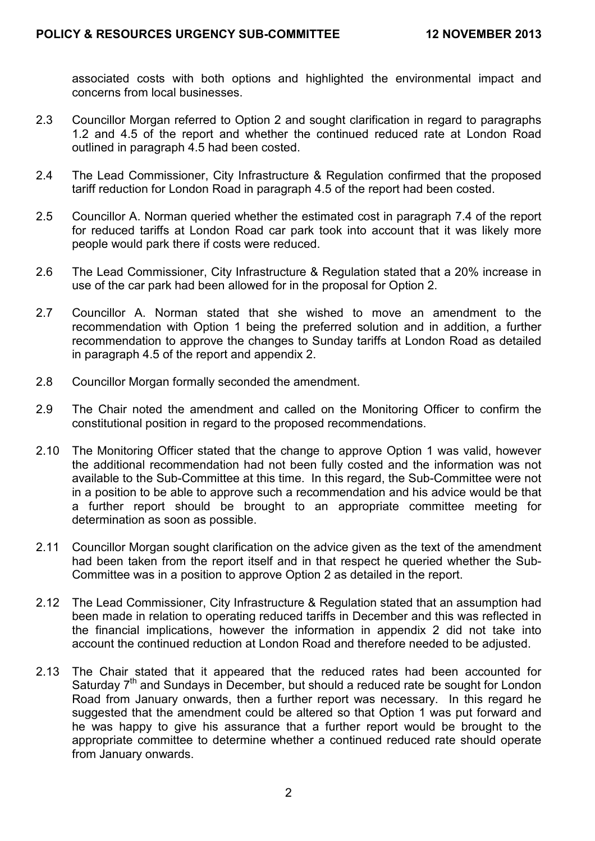associated costs with both options and highlighted the environmental impact and concerns from local businesses.

- 2.3 Councillor Morgan referred to Option 2 and sought clarification in regard to paragraphs 1.2 and 4.5 of the report and whether the continued reduced rate at London Road outlined in paragraph 4.5 had been costed.
- 2.4 The Lead Commissioner, City Infrastructure & Regulation confirmed that the proposed tariff reduction for London Road in paragraph 4.5 of the report had been costed.
- 2.5 Councillor A. Norman queried whether the estimated cost in paragraph 7.4 of the report for reduced tariffs at London Road car park took into account that it was likely more people would park there if costs were reduced.
- 2.6 The Lead Commissioner, City Infrastructure & Regulation stated that a 20% increase in use of the car park had been allowed for in the proposal for Option 2.
- 2.7 Councillor A. Norman stated that she wished to move an amendment to the recommendation with Option 1 being the preferred solution and in addition, a further recommendation to approve the changes to Sunday tariffs at London Road as detailed in paragraph 4.5 of the report and appendix 2.
- 2.8 Councillor Morgan formally seconded the amendment.
- 2.9 The Chair noted the amendment and called on the Monitoring Officer to confirm the constitutional position in regard to the proposed recommendations.
- 2.10 The Monitoring Officer stated that the change to approve Option 1 was valid, however the additional recommendation had not been fully costed and the information was not available to the Sub-Committee at this time. In this regard, the Sub-Committee were not in a position to be able to approve such a recommendation and his advice would be that a further report should be brought to an appropriate committee meeting for determination as soon as possible.
- 2.11 Councillor Morgan sought clarification on the advice given as the text of the amendment had been taken from the report itself and in that respect he queried whether the Sub-Committee was in a position to approve Option 2 as detailed in the report.
- 2.12 The Lead Commissioner, City Infrastructure & Regulation stated that an assumption had been made in relation to operating reduced tariffs in December and this was reflected in the financial implications, however the information in appendix 2 did not take into account the continued reduction at London Road and therefore needed to be adjusted.
- 2.13 The Chair stated that it appeared that the reduced rates had been accounted for Saturday  $7<sup>th</sup>$  and Sundays in December, but should a reduced rate be sought for London Road from January onwards, then a further report was necessary. In this regard he suggested that the amendment could be altered so that Option 1 was put forward and he was happy to give his assurance that a further report would be brought to the appropriate committee to determine whether a continued reduced rate should operate from January onwards.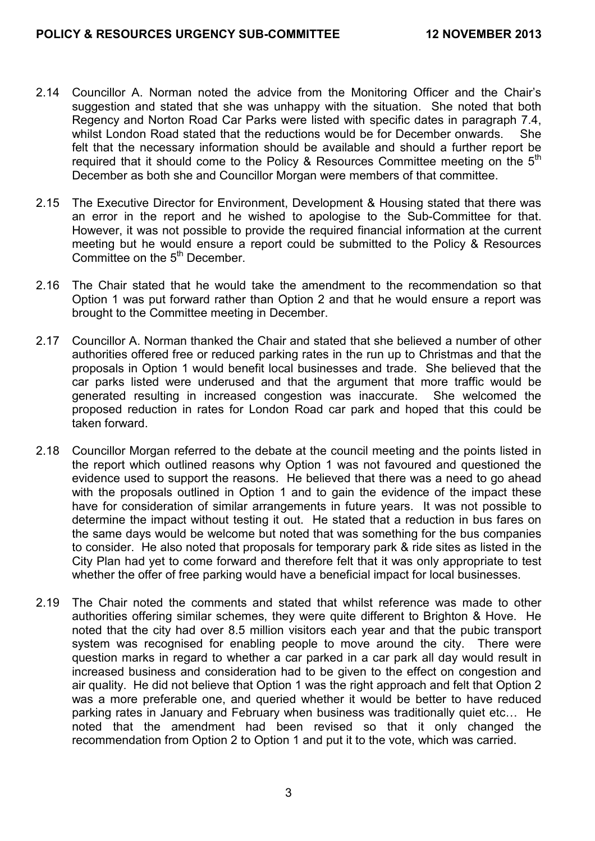- 2.14 Councillor A. Norman noted the advice from the Monitoring Officer and the Chair's suggestion and stated that she was unhappy with the situation. She noted that both Regency and Norton Road Car Parks were listed with specific dates in paragraph 7.4, whilst London Road stated that the reductions would be for December onwards. She felt that the necessary information should be available and should a further report be required that it should come to the Policy & Resources Committee meeting on the 5<sup>th</sup> December as both she and Councillor Morgan were members of that committee.
- 2.15 The Executive Director for Environment, Development & Housing stated that there was an error in the report and he wished to apologise to the Sub-Committee for that. However, it was not possible to provide the required financial information at the current meeting but he would ensure a report could be submitted to the Policy & Resources Committee on the 5<sup>th</sup> December.
- 2.16 The Chair stated that he would take the amendment to the recommendation so that Option 1 was put forward rather than Option 2 and that he would ensure a report was brought to the Committee meeting in December.
- 2.17 Councillor A. Norman thanked the Chair and stated that she believed a number of other authorities offered free or reduced parking rates in the run up to Christmas and that the proposals in Option 1 would benefit local businesses and trade. She believed that the car parks listed were underused and that the argument that more traffic would be generated resulting in increased congestion was inaccurate. She welcomed the proposed reduction in rates for London Road car park and hoped that this could be taken forward.
- 2.18 Councillor Morgan referred to the debate at the council meeting and the points listed in the report which outlined reasons why Option 1 was not favoured and questioned the evidence used to support the reasons. He believed that there was a need to go ahead with the proposals outlined in Option 1 and to gain the evidence of the impact these have for consideration of similar arrangements in future years. It was not possible to determine the impact without testing it out. He stated that a reduction in bus fares on the same days would be welcome but noted that was something for the bus companies to consider. He also noted that proposals for temporary park & ride sites as listed in the City Plan had yet to come forward and therefore felt that it was only appropriate to test whether the offer of free parking would have a beneficial impact for local businesses.
- 2.19 The Chair noted the comments and stated that whilst reference was made to other authorities offering similar schemes, they were quite different to Brighton & Hove. He noted that the city had over 8.5 million visitors each year and that the pubic transport system was recognised for enabling people to move around the city. There were question marks in regard to whether a car parked in a car park all day would result in increased business and consideration had to be given to the effect on congestion and air quality. He did not believe that Option 1 was the right approach and felt that Option 2 was a more preferable one, and queried whether it would be better to have reduced parking rates in January and February when business was traditionally quiet etc… He noted that the amendment had been revised so that it only changed the recommendation from Option 2 to Option 1 and put it to the vote, which was carried.